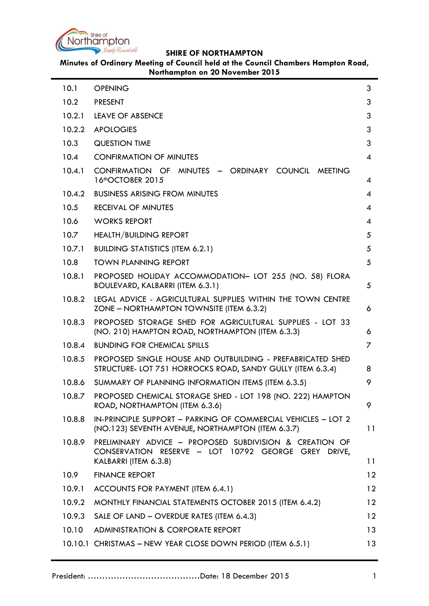

**Minutes of Ordinary Meeting of Council held at the Council Chambers Hampton Road, Northampton on 20 November 2015**

| 10.1   | <b>OPENING</b>                                                                                                           | 3              |
|--------|--------------------------------------------------------------------------------------------------------------------------|----------------|
| 10.2   | <b>PRESENT</b>                                                                                                           | 3              |
| 10.2.1 | LEAVE OF ABSENCE                                                                                                         | 3              |
| 10.2.2 | <b>APOLOGIES</b>                                                                                                         | 3              |
| 10.3   | <b>QUESTION TIME</b>                                                                                                     | 3              |
| 10.4   | <b>CONFIRMATION OF MINUTES</b>                                                                                           | 4              |
| 10.4.1 | CONFIRMATION OF MINUTES - ORDINARY COUNCIL MEETING<br>16thOCTOBER 2015                                                   | 4              |
| 10.4.2 | <b>BUSINESS ARISING FROM MINUTES</b>                                                                                     | $\overline{A}$ |
| 10.5   | <b>RECEIVAL OF MINUTES</b>                                                                                               | 4              |
| 10.6   | <b>WORKS REPORT</b>                                                                                                      | 4              |
| 10.7   | <b>HEALTH/BUILDING REPORT</b>                                                                                            | 5              |
| 10.7.1 | <b>BUILDING STATISTICS (ITEM 6.2.1)</b>                                                                                  | 5              |
| 10.8   | <b>TOWN PLANNING REPORT</b>                                                                                              | 5              |
| 10.8.1 | PROPOSED HOLIDAY ACCOMMODATION- LOT 255 (NO. 58) FLORA<br>BOULEVARD, KALBARRI (ITEM 6.3.1)                               | 5              |
| 10.8.2 | LEGAL ADVICE - AGRICULTURAL SUPPLIES WITHIN THE TOWN CENTRE<br>ZONE - NORTHAMPTON TOWNSITE (ITEM 6.3.2)                  | 6              |
| 10.8.3 | PROPOSED STORAGE SHED FOR AGRICULTURAL SUPPLIES - LOT 33<br>(NO. 210) HAMPTON ROAD, NORTHAMPTON (ITEM 6.3.3)             | 6              |
| 10.8.4 | <b>BUNDING FOR CHEMICAL SPILLS</b>                                                                                       | 7              |
| 10.8.5 | PROPOSED SINGLE HOUSE AND OUTBUILDING - PREFABRICATED SHED<br>STRUCTURE- LOT 751 HORROCKS ROAD, SANDY GULLY (ITEM 6.3.4) | 8              |
| 10.8.6 | SUMMARY OF PLANNING INFORMATION ITEMS (ITEM 6.3.5)                                                                       | 9              |
| 10.8.7 | PROPOSED CHEMICAL STORAGE SHED - LOT 198 (NO. 222) HAMPTON<br>ROAD, NORTHAMPTON (ITEM 6.3.6)                             | 9              |
| 10.8.8 | IN-PRINCIPLE SUPPORT - PARKING OF COMMERCIAL VEHICLES - LOT 2<br>(NO.123) SEVENTH AVENUE, NORTHAMPTON (ITEM 6.3.7)       | 11             |
| 10.8.9 | PRELIMINARY ADVICE - PROPOSED SUBDIVISION & CREATION OF<br>CONSERVATION RESERVE - LOT 10792 GEORGE GREY DRIVE,           |                |
|        | KALBARRI (ITEM 6.3.8)                                                                                                    | 11             |
| 10.9   | <b>FINANCE REPORT</b>                                                                                                    | 12             |
| 10.9.1 | ACCOUNTS FOR PAYMENT (ITEM 6.4.1)                                                                                        | 12             |
| 10.9.2 | MONTHLY FINANCIAL STATEMENTS OCTOBER 2015 (ITEM 6.4.2)                                                                   | 12             |
| 10.9.3 | SALE OF LAND - OVERDUE RATES (ITEM 6.4.3)                                                                                | 12             |
| 10.10  | ADMINISTRATION & CORPORATE REPORT                                                                                        | 13             |
|        | 10.10.1 CHRISTMAS - NEW YEAR CLOSE DOWN PERIOD (ITEM 6.5.1)                                                              | 13             |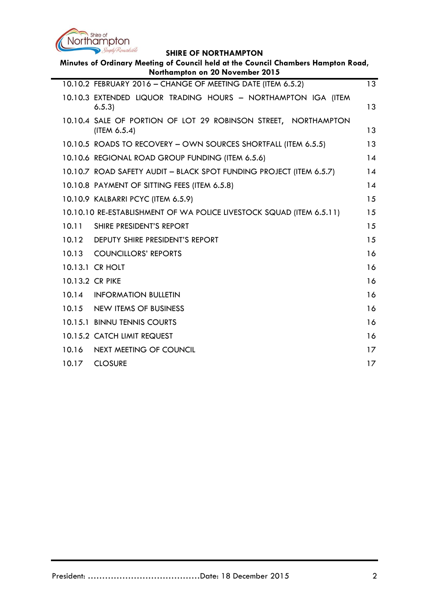

| Minutes of Ordinary Meeting of Council held at the Council Chambers Hampton Road,<br>Northampton on 20 November 2015 |                                                                                |                   |  |  |
|----------------------------------------------------------------------------------------------------------------------|--------------------------------------------------------------------------------|-------------------|--|--|
|                                                                                                                      | 10.10.2 FEBRUARY 2016 - CHANGE OF MEETING DATE (ITEM 6.5.2)                    | 13                |  |  |
|                                                                                                                      | 10.10.3 EXTENDED LIQUOR TRADING HOURS - NORTHAMPTON IGA (ITEM<br>6.5.3         | 13                |  |  |
|                                                                                                                      | 10.10.4 SALE OF PORTION OF LOT 29 ROBINSON STREET, NORTHAMPTON<br>(ITEM 6.5.4) | 13                |  |  |
|                                                                                                                      | 10.10.5 ROADS TO RECOVERY - OWN SOURCES SHORTFALL (ITEM 6.5.5)                 | 13                |  |  |
|                                                                                                                      | 10.10.6 REGIONAL ROAD GROUP FUNDING (ITEM 6.5.6)                               | 14                |  |  |
|                                                                                                                      | 10.10.7 ROAD SAFETY AUDIT - BLACK SPOT FUNDING PROJECT (ITEM 6.5.7)            | 14                |  |  |
|                                                                                                                      | 10.10.8 PAYMENT OF SITTING FEES (ITEM 6.5.8)                                   | 14                |  |  |
|                                                                                                                      | 10.10.9 KALBARRI PCYC (ITEM 6.5.9)                                             | 15                |  |  |
|                                                                                                                      | 10.10.10 RE-ESTABLISHMENT OF WA POLICE LIVESTOCK SQUAD (ITEM 6.5.11)           | 15                |  |  |
| 10.11                                                                                                                | SHIRE PRESIDENT'S REPORT                                                       | 15                |  |  |
| 10.12                                                                                                                | DEPUTY SHIRE PRESIDENT'S REPORT                                                | 15                |  |  |
| 10.13                                                                                                                | <b>COUNCILLORS' REPORTS</b>                                                    | 16                |  |  |
|                                                                                                                      | 10.13.1 CR HOLT                                                                | 16                |  |  |
| 10.13.2 CR PIKE                                                                                                      |                                                                                | 16                |  |  |
| 10.14                                                                                                                | <b>INFORMATION BULLETIN</b>                                                    | 16                |  |  |
| 10.15                                                                                                                | <b>NEW ITEMS OF BUSINESS</b>                                                   | 16                |  |  |
|                                                                                                                      | 10.15.1 BINNU TENNIS COURTS                                                    | 16                |  |  |
|                                                                                                                      | 10.15.2 CATCH LIMIT REQUEST                                                    | 16                |  |  |
| 10.16                                                                                                                | NEXT MEETING OF COUNCIL                                                        | $17 \overline{ }$ |  |  |
| 10.17                                                                                                                | <b>CLOSURE</b>                                                                 | $17 \,$           |  |  |
|                                                                                                                      |                                                                                |                   |  |  |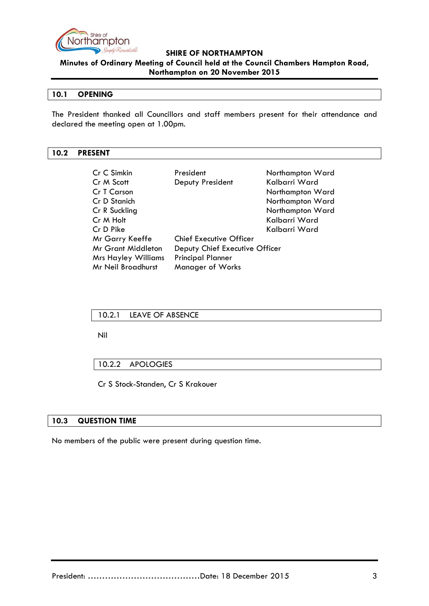

**Minutes of Ordinary Meeting of Council held at the Council Chambers Hampton Road, Northampton on 20 November 2015**

### <span id="page-2-0"></span>**10.1 OPENING**

The President thanked all Councillors and staff members present for their attendance and declared the meeting open at 1.00pm.

#### <span id="page-2-1"></span>**10.2 PRESENT**

| Cr C Simkin                | President                      | Northampton Ward |
|----------------------------|--------------------------------|------------------|
| Cr M Scott                 | Deputy President               | Kalbarri Ward    |
| Cr T Carson                |                                | Northampton Ward |
| Cr D Stanich               |                                | Northampton Ward |
| Cr R Suckling              |                                | Northampton Ward |
| Cr M Holt                  |                                | Kalbarri Ward    |
| Cr D Pike                  |                                | Kalbarri Ward    |
| Mr Garry Keeffe            | <b>Chief Executive Officer</b> |                  |
| <b>Mr Grant Middleton</b>  | Deputy Chief Executive Officer |                  |
| <b>Mrs Hayley Williams</b> | <b>Principal Planner</b>       |                  |
| Mr Neil Broadhurst         | <b>Manager of Works</b>        |                  |

#### <span id="page-2-2"></span>10.2.1 LEAVE OF ABSENCE

Nil

<span id="page-2-3"></span>10.2.2 APOLOGIES

Cr S Stock-Standen, Cr S Krakouer

### <span id="page-2-4"></span>**10.3 QUESTION TIME**

No members of the public were present during question time.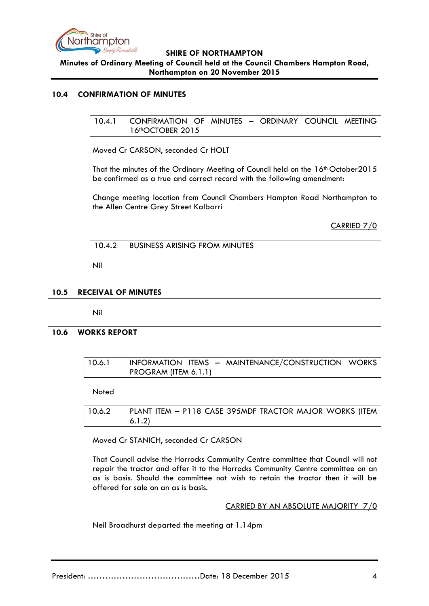

**Minutes of Ordinary Meeting of Council held at the Council Chambers Hampton Road, Northampton on 20 November 2015**

#### <span id="page-3-1"></span><span id="page-3-0"></span>**10.4 CONFIRMATION OF MINUTES**

10.4.1 CONFIRMATION OF MINUTES – ORDINARY COUNCIL MEETING 16thOCTOBER 2015

Moved Cr CARSON, seconded Cr HOLT

That the minutes of the Ordinary Meeting of Council held on the 16<sup>th</sup> October2015 be confirmed as a true and correct record with the following amendment:

Change meeting location from Council Chambers Hampton Road Northampton to the Allen Centre Grey Street Kalbarri

CARRIED 7/0

<span id="page-3-2"></span>10.4.2 BUSINESS ARISING FROM MINUTES

Nil

### <span id="page-3-3"></span>**10.5 RECEIVAL OF MINUTES**

Nil

#### <span id="page-3-4"></span>**10.6 WORKS REPORT**

10.6.1 INFORMATION ITEMS – MAINTENANCE/CONSTRUCTION WORKS PROGRAM (ITEM 6.1.1)

Noted

10.6.2 PLANT ITEM 
$$
- P118
$$
 CASE 395MDF TRACTOR MAJOR WORKS (ITER 6.1.2)

Moved Cr STANICH, seconded Cr CARSON

That Council advise the Horrocks Community Centre committee that Council will not repair the tractor and offer it to the Horrocks Community Centre committee on an as is basis. Should the committee not wish to retain the tractor then it will be offered for sale on an as is basis.

CARRIED BY AN ABSOLUTE MAJORITY 7/0

Neil Broadhurst departed the meeting at 1.14pm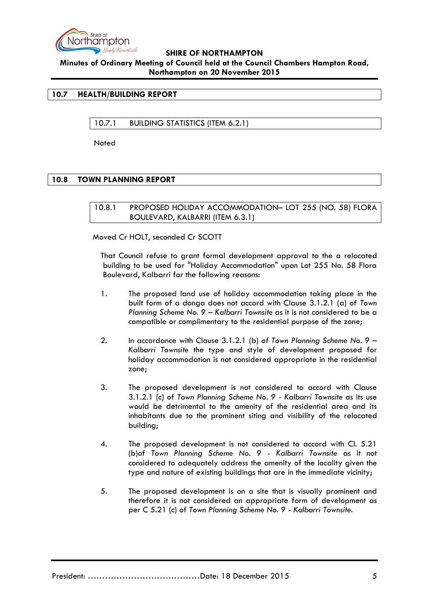

**Minutes of Ordinary Meeting of Council held at the Council Chambers Hampton Road, Northampton on 20 November 2015**

### <span id="page-4-1"></span><span id="page-4-0"></span>**10.7 HEALTH/BUILDING REPORT**

10.7.1 BUILDING STATISTICS (ITEM 6.2.1)

Noted

### <span id="page-4-3"></span><span id="page-4-2"></span>**10.8 TOWN PLANNING REPORT**

10.8.1 PROPOSED HOLIDAY ACCOMMODATION– LOT 255 (NO. 58) FLORA BOULEVARD, KALBARRI (ITEM 6.3.1)

Moved Cr HOLT, seconded Cr SCOTT

That Council refuse to grant formal development approval to the a relocated building to be used for "Holiday Accommodation" upon Lot 255 No. 58 Flora Boulevard, Kalbarri for the following reasons:

- 1. The proposed land use of holiday accommodation taking place in the built form of a donga does not accord with Clause 3.1.2.1 (a) of *Town Planning Scheme No. 9 – Kalbarri Townsite* as it is not considered to be a compatible or complimentary to the residential purpose of the zone;
- 2. In accordance with Clause 3.1.2.1 (b) *of Town Planning Scheme No. 9 – Kalbarri Townsite* the type and style of development proposed for holiday accommodation is not considered appropriate in the residential zone;
- 3. The proposed development is not considered to accord with Clause 3.1.2.1 (c) of *Town Planning Scheme No. 9 - Kalbarri Townsite* as its use would be detrimental to the amenity of the residential area and its inhabitants due to the prominent siting and visibility of the relocated building;
- 4. The proposed development is not considered to accord with Cl. 5.21 (b)of *Town Planning Scheme No. 9 - Kalbarri Townsite* as it not considered to adequately address the amenity of the locality given the type and nature of existing buildings that are in the immediate vicinity;
- 5. The proposed development is on a site that is visually prominent and therefore it is not considered an appropriate form of development as per C 5.21 (c) of *Town Planning Scheme No. 9 - Kalbarri Townsite*.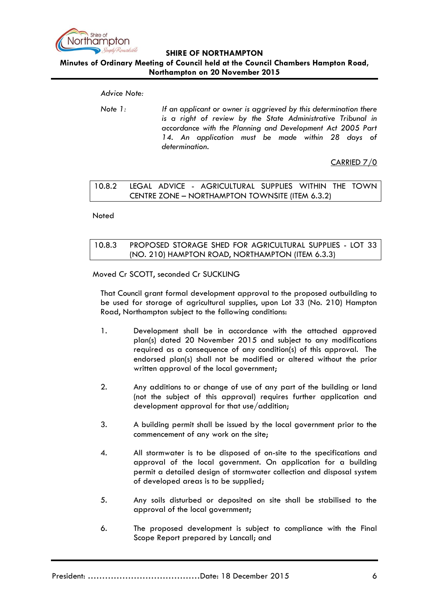

# **Minutes of Ordinary Meeting of Council held at the Council Chambers Hampton Road, Northampton on 20 November 2015**

*Advice Note:*

*Note 1: If an applicant or owner is aggrieved by this determination there is a right of review by the State Administrative Tribunal in accordance with the Planning and Development Act 2005 Part 14. An application must be made within 28 days of determination.*

CARRIED 7/0

# <span id="page-5-0"></span>10.8.2 LEGAL ADVICE - AGRICULTURAL SUPPLIES WITHIN THE TOWN CENTRE ZONE – NORTHAMPTON TOWNSITE (ITEM 6.3.2)

**Noted** 

# <span id="page-5-1"></span>10.8.3 PROPOSED STORAGE SHED FOR AGRICULTURAL SUPPLIES - LOT 33 (NO. 210) HAMPTON ROAD, NORTHAMPTON (ITEM 6.3.3)

Moved Cr SCOTT, seconded Cr SUCKLING

That Council grant formal development approval to the proposed outbuilding to be used for storage of agricultural supplies, upon Lot 33 (No. 210) Hampton Road, Northampton subject to the following conditions:

- 1. Development shall be in accordance with the attached approved plan(s) dated 20 November 2015 and subject to any modifications required as a consequence of any condition(s) of this approval. The endorsed plan(s) shall not be modified or altered without the prior written approval of the local government;
- 2. Any additions to or change of use of any part of the building or land (not the subject of this approval) requires further application and development approval for that use/addition;
- 3. A building permit shall be issued by the local government prior to the commencement of any work on the site;
- 4. All stormwater is to be disposed of on-site to the specifications and approval of the local government. On application for a building permit a detailed design of stormwater collection and disposal system of developed areas is to be supplied;
- 5. Any soils disturbed or deposited on site shall be stabilised to the approval of the local government;
- 6. The proposed development is subject to compliance with the Final Scope Report prepared by Lancall; and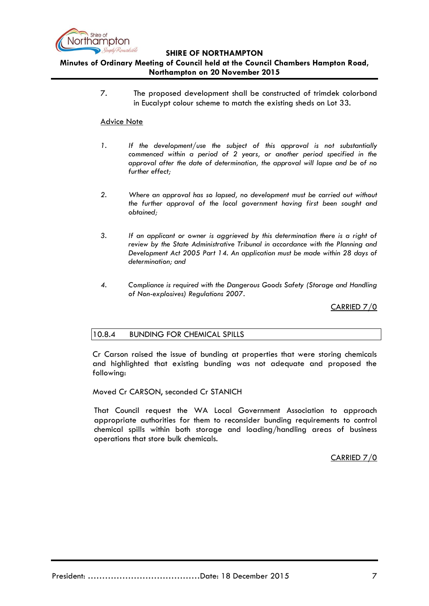

### **SHIRE OF NORTHAMPTON Minutes of Ordinary Meeting of Council held at the Council Chambers Hampton Road, Northampton on 20 November 2015**

7. The proposed development shall be constructed of trimdek colorbond in Eucalypt colour scheme to match the existing sheds on Lot 33.

#### Advice Note

- *1. If the development/use the subject of this approval is not substantially commenced within a period of 2 years, or another period specified in the approval after the date of determination, the approval will lapse and be of no further effect;*
- *2. Where an approval has so lapsed, no development must be carried out without the further approval of the local government having first been sought and obtained;*
- *3. If an applicant or owner is aggrieved by this determination there is a right of review by the State Administrative Tribunal in accordance with the Planning and Development Act 2005 Part 14. An application must be made within 28 days of determination; and*
- *4. Compliance is required with the Dangerous Goods Safety (Storage and Handling of Non-explosives) Regulations 2007.*

CARRIED 7/0

### <span id="page-6-0"></span>10.8.4 BUNDING FOR CHEMICAL SPILLS

Cr Carson raised the issue of bunding at properties that were storing chemicals and highlighted that existing bunding was not adequate and proposed the following:

Moved Cr CARSON, seconded Cr STANICH

That Council request the WA Local Government Association to approach appropriate authorities for them to reconsider bunding requirements to control chemical spills within both storage and loading/handling areas of business operations that store bulk chemicals.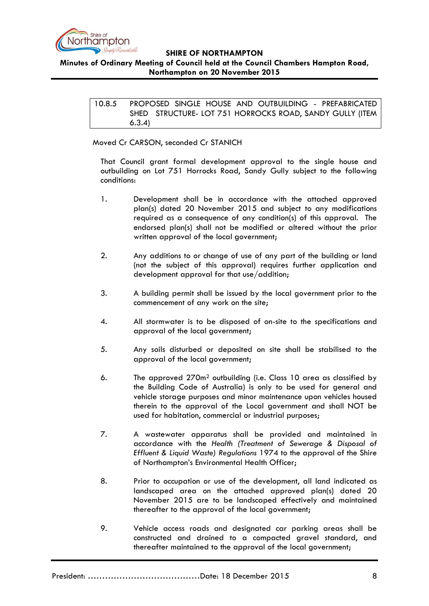

### <span id="page-7-0"></span>**Minutes of Ordinary Meeting of Council held at the Council Chambers Hampton Road, Northampton on 20 November 2015**

10.8.5 PROPOSED SINGLE HOUSE AND OUTBUILDING - PREFABRICATED SHED STRUCTURE- LOT 751 HORROCKS ROAD, SANDY GULLY (ITEM 6.3.4)

### Moved Cr CARSON, seconded Cr STANICH

That Council grant formal development approval to the single house and outbuilding on Lot 751 Horrocks Road, Sandy Gully subject to the following conditions:

- 1. Development shall be in accordance with the attached approved plan(s) dated 20 November 2015 and subject to any modifications required as a consequence of any condition(s) of this approval. The endorsed plan(s) shall not be modified or altered without the prior written approval of the local government;
- 2. Any additions to or change of use of any part of the building or land (not the subject of this approval) requires further application and development approval for that use/addition;
- 3. A building permit shall be issued by the local government prior to the commencement of any work on the site;
- 4. All stormwater is to be disposed of on-site to the specifications and approval of the local government;
- 5. Any soils disturbed or deposited on site shall be stabilised to the approval of the local government;
- 6. The approved 270m<sup>2</sup> outbuilding (i.e. Class 10 area as classified by the Building Code of Australia) is only to be used for general and vehicle storage purposes and minor maintenance upon vehicles housed therein to the approval of the Local government and shall NOT be used for habitation, commercial or industrial purposes;
- 7. A wastewater apparatus shall be provided and maintained in accordance with the *Health (Treatment of Sewerage & Disposal of Effluent & Liquid Waste) Regulations* 1974 to the approval of the Shire of Northampton's Environmental Health Officer;
- 8. Prior to occupation or use of the development, all land indicated as landscaped area on the attached approved plan(s) dated 20 November 2015 are to be landscaped effectively and maintained thereafter to the approval of the local government;
- 9. Vehicle access roads and designated car parking areas shall be constructed and drained to a compacted gravel standard, and thereafter maintained to the approval of the local government;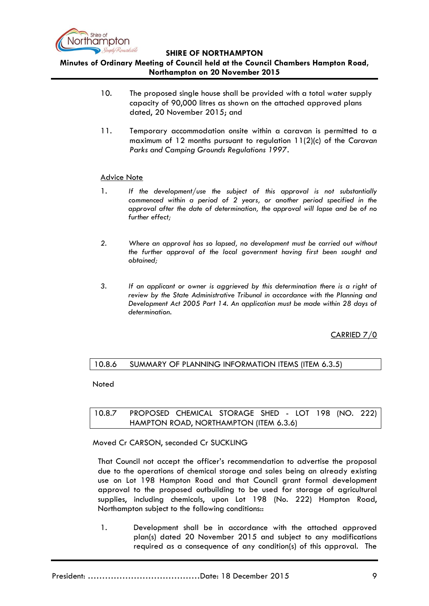

**Minutes of Ordinary Meeting of Council held at the Council Chambers Hampton Road, Northampton on 20 November 2015**

- 10. The proposed single house shall be provided with a total water supply capacity of 90,000 litres as shown on the attached approved plans dated, 20 November 2015; and
- 11. Temporary accommodation onsite within a caravan is permitted to a maximum of 12 months pursuant to regulation 11(2)(c) of the *Caravan Parks and Camping Grounds Regulations 1997*.

#### Advice Note

- 1. *If the development/use the subject of this approval is not substantially commenced within a period of 2 years, or another period specified in the approval after the date of determination, the approval will lapse and be of no further effect;*
- *2. Where an approval has so lapsed, no development must be carried out without the further approval of the local government having first been sought and obtained;*
- *3. If an applicant or owner is aggrieved by this determination there is a right of review by the State Administrative Tribunal in accordance with the Planning and Development Act 2005 Part 14. An application must be made within 28 days of determination.*

CARRIED 7/0

### <span id="page-8-0"></span>10.8.6 SUMMARY OF PLANNING INFORMATION ITEMS (ITEM 6.3.5)

Noted

### <span id="page-8-1"></span>10.8.7 PROPOSED CHEMICAL STORAGE SHED - LOT 198 (NO. 222) HAMPTON ROAD, NORTHAMPTON (ITEM 6.3.6)

Moved Cr CARSON, seconded Cr SUCKLING

That Council not accept the officer's recommendation to advertise the proposal due to the operations of chemical storage and sales being an already existing use on Lot 198 Hampton Road and that Council grant formal development approval to the proposed outbuilding to be used for storage of agricultural supplies, including chemicals, upon Lot 198 (No. 222) Hampton Road, Northampton subject to the following conditions::

1. Development shall be in accordance with the attached approved plan(s) dated 20 November 2015 and subject to any modifications required as a consequence of any condition(s) of this approval. The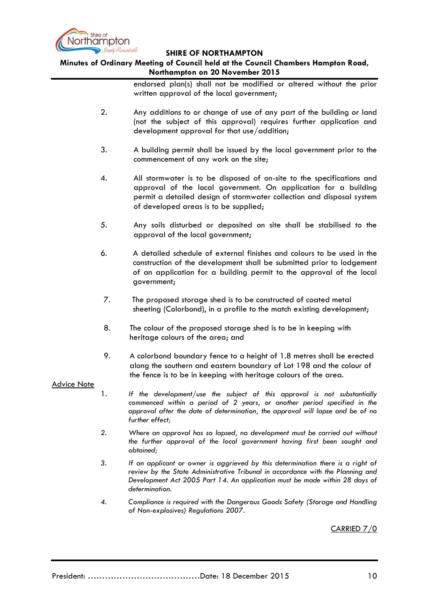

# **Minutes of Ordinary Meeting of Council held at the Council Chambers Hampton Road, Northampton on 20 November 2015**

endorsed plan(s) shall not be modified or altered without the prior written approval of the local government;

- 2. Any additions to or change of use of any part of the building or land (not the subject of this approval) requires further application and development approval for that use/addition;
- 3. A building permit shall be issued by the local government prior to the commencement of any work on the site;
- 4. All stormwater is to be disposed of on-site to the specifications and approval of the local government. On application for a building permit a detailed design of stormwater collection and disposal system of developed areas is to be supplied;
- 5. Any soils disturbed or deposited on site shall be stabilised to the approval of the local government;
- 6. A detailed schedule of external finishes and colours to be used in the construction of the development shall be submitted prior to lodgement of an application for a building permit to the approval of the local government;
- 7. The proposed storage shed is to be constructed of coated metal sheeting (Colorbond), in a profile to the match existing development;
- 8. The colour of the proposed storage shed is to be in keeping with heritage colours of the area; and
- 9. A colorbond boundary fence to a height of 1.8 metres shall be erected along the southern and eastern boundary of Lot 198 and the colour of the fence is to be in keeping with heritage colours of the area.

#### Advice Note

- 1. *If the development/use the subject of this approval is not substantially commenced within a period of 2 years, or another period specified in the approval after the date of determination, the approval will lapse and be of no further effect;*
- *2. Where an approval has so lapsed, no development must be carried out without the further approval of the local government having first been sought and obtained;*
- *3. If an applicant or owner is aggrieved by this determination there is a right of review by the State Administrative Tribunal in accordance with the Planning and Development Act 2005 Part 14. An application must be made within 28 days of determination.*
- *4. Compliance is required with the Dangerous Goods Safety (Storage and Handling of Non-explosives) Regulations 2007.*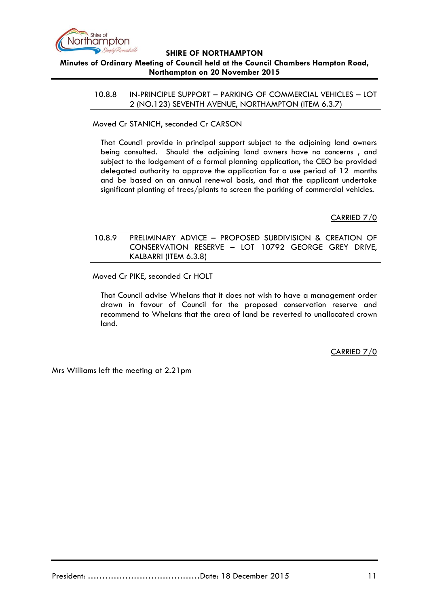

<span id="page-10-0"></span>**Minutes of Ordinary Meeting of Council held at the Council Chambers Hampton Road, Northampton on 20 November 2015**

> 10.8.8 IN-PRINCIPLE SUPPORT – PARKING OF COMMERCIAL VEHICLES – LOT 2 (NO.123) SEVENTH AVENUE, NORTHAMPTON (ITEM 6.3.7)

Moved Cr STANICH, seconded Cr CARSON

That Council provide in principal support subject to the adjoining land owners being consulted. Should the adjoining land owners have no concerns , and subject to the lodgement of a formal planning application, the CEO be provided delegated authority to approve the application for a use period of 12 months and be based on an annual renewal basis, and that the applicant undertake significant planting of trees/plants to screen the parking of commercial vehicles.

CARRIED 7/0

<span id="page-10-1"></span>10.8.9 PRELIMINARY ADVICE – PROPOSED SUBDIVISION & CREATION OF CONSERVATION RESERVE – LOT 10792 GEORGE GREY DRIVE, KALBARRI (ITEM 6.3.8)

Moved Cr PIKE, seconded Cr HOLT

That Council advise Whelans that it does not wish to have a management order drawn in favour of Council for the proposed conservation reserve and recommend to Whelans that the area of land be reverted to unallocated crown land.

CARRIED 7/0

Mrs Williams left the meeting at 2.21pm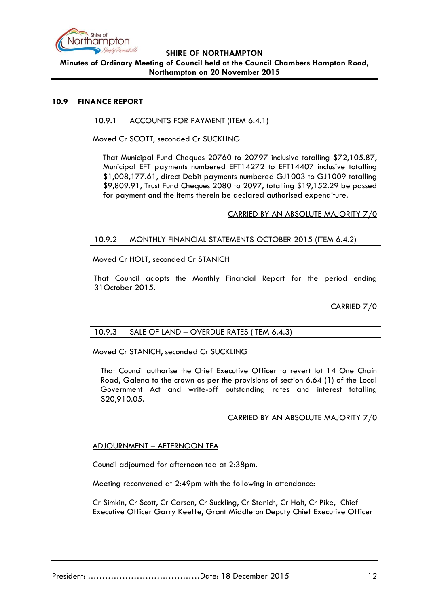

### **SHIRE OF NORTHAMPTON Minutes of Ordinary Meeting of Council held at the Council Chambers Hampton Road, Northampton on 20 November 2015**

### <span id="page-11-1"></span><span id="page-11-0"></span>**10.9 FINANCE REPORT**

#### 10.9.1 ACCOUNTS FOR PAYMENT (ITEM 6.4.1)

Moved Cr SCOTT, seconded Cr SUCKLING

That Municipal Fund Cheques 20760 to 20797 inclusive totalling \$72,105.87, Municipal EFT payments numbered EFT14272 to EFT14407 inclusive totalling \$1,008,177.61, direct Debit payments numbered GJ1003 to GJ1009 totalling \$9,809.91, Trust Fund Cheques 2080 to 2097, totalling \$19,152.29 be passed for payment and the items therein be declared authorised expenditure.

CARRIED BY AN ABSOLUTE MAJORITY 7/0

### <span id="page-11-2"></span>10.9.2 MONTHLY FINANCIAL STATEMENTS OCTOBER 2015 (ITEM 6.4.2)

Moved Cr HOLT, seconded Cr STANICH

That Council adopts the Monthly Financial Report for the period ending 31October 2015.

### CARRIED 7/0

# <span id="page-11-3"></span>10.9.3 SALE OF LAND – OVERDUE RATES (ITEM 6.4.3)

Moved Cr STANICH, seconded Cr SUCKLING

That Council authorise the Chief Executive Officer to revert lot 14 One Chain Road, Galena to the crown as per the provisions of section 6.64 (1) of the Local Government Act and write-off outstanding rates and interest totalling \$20,910.05.

#### CARRIED BY AN ABSOLUTE MAJORITY 7/0

#### ADJOURNMENT – AFTERNOON TEA

Council adjourned for afternoon tea at 2:38pm.

Meeting reconvened at 2:49pm with the following in attendance:

Cr Simkin, Cr Scott, Cr Carson, Cr Suckling, Cr Stanich, Cr Holt, Cr Pike, Chief Executive Officer Garry Keeffe, Grant Middleton Deputy Chief Executive Officer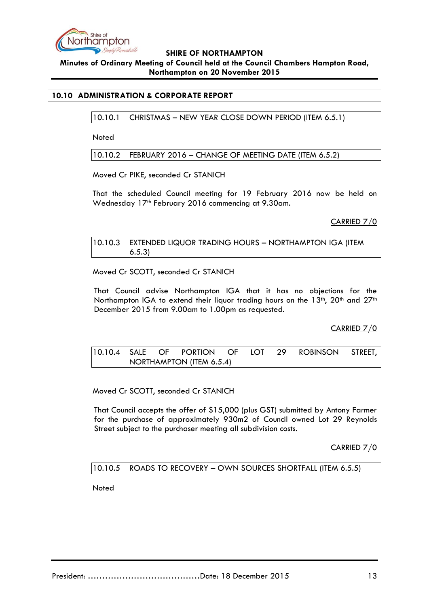

**Minutes of Ordinary Meeting of Council held at the Council Chambers Hampton Road, Northampton on 20 November 2015**

### <span id="page-12-1"></span><span id="page-12-0"></span>**10.10 ADMINISTRATION & CORPORATE REPORT**

10.10.1 CHRISTMAS – NEW YEAR CLOSE DOWN PERIOD (ITEM 6.5.1)

**Noted** 

<span id="page-12-2"></span>10.10.2 FEBRUARY 2016 – CHANGE OF MEETING DATE (ITEM 6.5.2)

Moved Cr PIKE, seconded Cr STANICH

That the scheduled Council meeting for 19 February 2016 now be held on Wednesday 17<sup>th</sup> February 2016 commencing at 9.30am.

CARRIED 7/0

<span id="page-12-3"></span>10.10.3 EXTENDED LIQUOR TRADING HOURS – NORTHAMPTON IGA (ITEM 6.5.3)

Moved Cr SCOTT, seconded Cr STANICH

That Council advise Northampton IGA that it has no objections for the Northampton IGA to extend their liquor trading hours on the 13<sup>th</sup>, 20<sup>th</sup> and 27<sup>th</sup> December 2015 from 9.00am to 1.00pm as requested.

CARRIED 7/0

<span id="page-12-4"></span>10.10.4 SALE OF PORTION OF LOT 29 ROBINSON STREET, NORTHAMPTON (ITEM 6.5.4)

Moved Cr SCOTT, seconded Cr STANICH

That Council accepts the offer of \$15,000 (plus GST) submitted by Antony Farmer for the purchase of approximately 930m2 of Council owned Lot 29 Reynolds Street subject to the purchaser meeting all subdivision costs.

CARRIED 7/0

<span id="page-12-5"></span>10.10.5 ROADS TO RECOVERY – OWN SOURCES SHORTFALL (ITEM 6.5.5)

Noted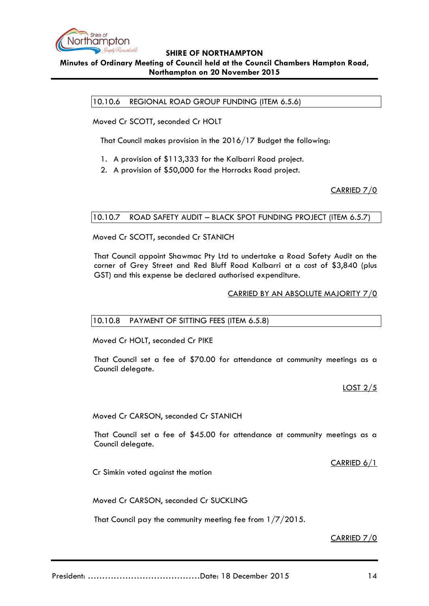

### <span id="page-13-0"></span>**Minutes of Ordinary Meeting of Council held at the Council Chambers Hampton Road, Northampton on 20 November 2015**

10.10.6 REGIONAL ROAD GROUP FUNDING (ITEM 6.5.6)

Moved Cr SCOTT, seconded Cr HOLT

That Council makes provision in the 2016/17 Budget the following:

- 1. A provision of \$113,333 for the Kalbarri Road project.
- 2. A provision of \$50,000 for the Horrocks Road project.

CARRIED 7/0

### <span id="page-13-1"></span>10.10.7 ROAD SAFETY AUDIT – BLACK SPOT FUNDING PROJECT (ITEM 6.5.7)

Moved Cr SCOTT, seconded Cr STANICH

That Council appoint Shawmac Pty Ltd to undertake a Road Safety Audit on the corner of Grey Street and Red Bluff Road Kalbarri at a cost of \$3,840 (plus GST) and this expense be declared authorised expenditure.

#### CARRIED BY AN ABSOLUTE MAJORITY 7/0

#### <span id="page-13-2"></span>10.10.8 PAYMENT OF SITTING FEES (ITEM 6.5.8)

Moved Cr HOLT, seconded Cr PIKE

That Council set a fee of \$70.00 for attendance at community meetings as a Council delegate.

LOST 2/5

Moved Cr CARSON, seconded Cr STANICH

That Council set a fee of \$45.00 for attendance at community meetings as a Council delegate.

CARRIED 6/1

Cr Simkin voted against the motion

Moved Cr CARSON, seconded Cr SUCKLING

That Council pay the community meeting fee from 1/7/2015.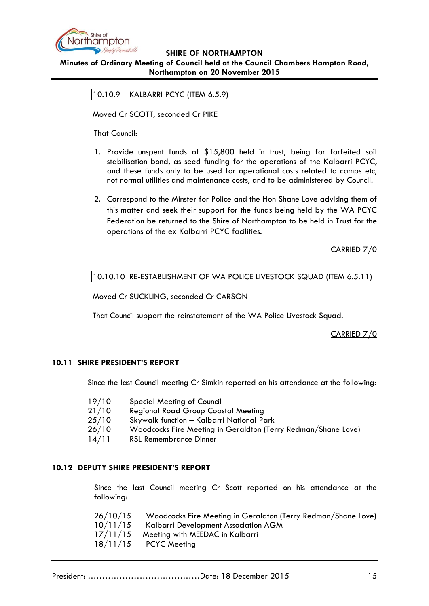

<span id="page-14-0"></span>**Minutes of Ordinary Meeting of Council held at the Council Chambers Hampton Road, Northampton on 20 November 2015**

10.10.9 KALBARRI PCYC (ITEM 6.5.9)

Moved Cr SCOTT, seconded Cr PIKE

That Council:

- 1. Provide unspent funds of \$15,800 held in trust, being for forfeited soil stabilisation bond, as seed funding for the operations of the Kalbarri PCYC, and these funds only to be used for operational costs related to camps etc, not normal utilities and maintenance costs, and to be administered by Council.
- 2. Correspond to the Minster for Police and the Hon Shane Love advising them of this matter and seek their support for the funds being held by the WA PCYC Federation be returned to the Shire of Northampton to be held in Trust for the operations of the ex Kalbarri PCYC facilities.

CARRIED 7/0

### <span id="page-14-1"></span>10.10.10 RE-ESTABLISHMENT OF WA POLICE LIVESTOCK SQUAD (ITEM 6.5.11)

Moved Cr SUCKLING, seconded Cr CARSON

That Council support the reinstatement of the WA Police Livestock Squad.

CARRIED 7/0

#### <span id="page-14-2"></span>**10.11 SHIRE PRESIDENT'S REPORT**

Since the last Council meeting Cr Simkin reported on his attendance at the following:

- 19/10 Special Meeting of Council
- 21/10 Regional Road Group Coastal Meeting
- 25/10 Skywalk function Kalbarri National Park
- 26/10 Woodcocks Fire Meeting in Geraldton (Terry Redman/Shane Love)
- 14/11 RSL Remembrance Dinner

#### <span id="page-14-3"></span>**10.12 DEPUTY SHIRE PRESIDENT'S REPORT**

Since the last Council meeting Cr Scott reported on his attendance at the following:

| 26/10/15 | Woodcocks Fire Meeting in Geraldton (Terry Redman/Shane Love) |
|----------|---------------------------------------------------------------|
| 10/11/15 | Kalbarri Development Association AGM                          |
| 17/11/15 | Meeting with MEEDAC in Kalbarri                               |
|          | $18/11/15$ PCYC Meeting                                       |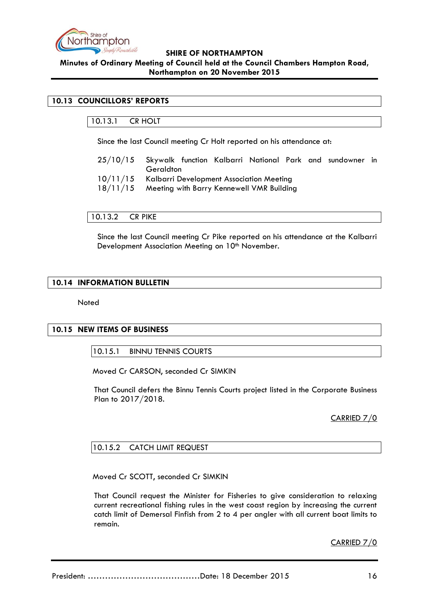

**Minutes of Ordinary Meeting of Council held at the Council Chambers Hampton Road, Northampton on 20 November 2015**

# <span id="page-15-1"></span><span id="page-15-0"></span>**10.13 COUNCILLORS' REPORTS**

# 10.13.1 CR HOLT

Since the last Council meeting Cr Holt reported on his attendance at:

- 25/10/15 Skywalk function Kalbarri National Park and sundowner in **Geraldton**
- 10/11/15 Kalbarri Development Association Meeting
- 18/11/15 Meeting with Barry Kennewell VMR Building

<span id="page-15-2"></span>10.13.2 CR PIKE

Since the last Council meeting Cr Pike reported on his attendance at the Kalbarri Development Association Meeting on 10<sup>th</sup> November.

### <span id="page-15-3"></span>**10.14 INFORMATION BULLETIN**

**Noted** 

#### <span id="page-15-5"></span><span id="page-15-4"></span>**10.15 NEW ITEMS OF BUSINESS**

10.15.1 BINNU TENNIS COURTS

Moved Cr CARSON, seconded Cr SIMKIN

That Council defers the Binnu Tennis Courts project listed in the Corporate Business Plan to 2017/2018.

CARRIED 7/0

### <span id="page-15-6"></span>10.15.2 CATCH LIMIT REQUEST

Moved Cr SCOTT, seconded Cr SIMKIN

That Council request the Minister for Fisheries to give consideration to relaxing current recreational fishing rules in the west coast region by increasing the current catch limit of Demersal Finfish from 2 to 4 per angler with all current boat limits to remain.